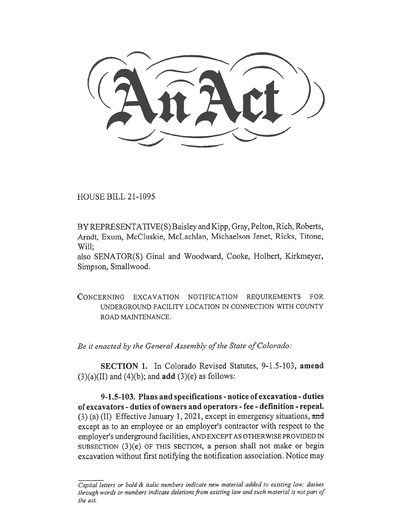$\frac{1}{2}$ 

HOUSE BILL 21-1095

BY REPRESENTATIVE(S) Baisley and Kipp, Gray, Pelton, Rich, Roberts, Arndt, Exum, McCluskie, McLachlan, Michaelson Jenet, Ricks, Titone, Will;

also SENATOR(S) Ginal and Woodward, Cooke, Holbert, Kirkmeyer, Simpson, Smallwood.

CONCERNING EXCAVATION NOTIFICATION REQUIREMENTS FOR UNDERGROUND FACILITY LOCATION IN CONNECTION WITH COUNTY ROAD MAINTENANCE.

Be it enacted by the General Assembly of the State of Colorado:

SECTION 1. In Colorado Revised Statutes, 9-1.5-103, amend  $(3)(a)(II)$  and  $(4)(b)$ ; and **add**  $(3)(e)$  as follows:

9-1.5-103. Plans and specifications - notice of excavation - duties of excavators - duties of owners and operators - fee - definition - repeal. (3) (a) (II) Effective January 1, 2021, except in emergency situations, and except as to an employee or an employer's contractor with respect to the employer's underground facilities, AND EXCEPT AS OTHERWISE PROVIDED IN SUBSECTION (3)(e) OF THIS SECTION, a person shall not make or begin excavation without first notifying the notification association. Notice may

Capital letters or bold & italic numbers indicate new material added to existing law; dashes through words or numbers indicate deletions from existing law and such material is not part of the act.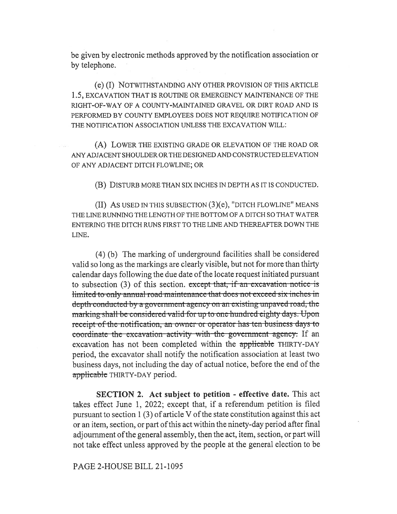be given by electronic methods approved by the notification association or by telephone.

(e) (I) NOTWITHSTANDING ANY OTHER PROVISION OF THIS ARTICLE 1.5, EXCAVATION THAT IS ROUTINE OR EMERGENCY MAINTENANCE OF THE RIGHT-OF-WAY OF A COUNTY-MAINTAINED GRAVEL OR DIRT ROAD AND IS PERFORMED BY COUNTY EMPLOYEES DOES NOT REQUIRE NOTIFICATION OF THE NOTIFICATION ASSOCIATION UNLESS THE EXCAVATION WILL:

(A) LOWER THE EXISTING GRADE OR ELEVATION OF THE ROAD OR ANY ADJACENT SHOULDER OR THE DESIGNED AND CONSTRUCTED ELEVATION OF ANY ADJACENT DITCH FLOWLINE; OR

(B) DISTURB MORE THAN SIX INCHES IN DEPTH AS IT IS CONDUCTED.

(II) AS USED IN THIS SUBSECTION (3)(e), "DITCH FLOWLINE" MEANS THE LINE RUNNING THE LENGTH OF THE BOTTOM OF A DITCH SO THAT WATER ENTERING THE DITCH RUNS FIRST TO THE LINE AND THEREAFTER DOWN THE LINE.

(4) (b) The marking of underground facilities shall be considered valid so long as the markings are clearly visible, but not for more than thirty calendar days following the due date of the locate request initiated pursuant to subsection (3) of this section. except that, if an excavation notice is limited to only annual road maintenance that does not exceed six inches in depth-conducted by a government agency on an existing unpaved road, the marking shall-be-considered-valid-for up to one-hundred-eighty days. Upon receipt of the notification, an owner or operator has ten business days to coordinate the excavation activity with the government agency. If an excavation has not been completed within the applicable THIRTY-DAY period, the excavator shall notify the notification association at least two business days, not including the day of actual notice, before the end of the applicable THIRTY-DAY period.

SECTION 2. Act subject to petition - effective date. This act takes effect June 1, 2022; except that, if a referendum petition is filed pursuant to section 1 (3) of article V of the state constitution against this act or an item, section, or part of this act within the ninety-day period after final adjournment of the general assembly, then the act, item, section, or part will not take effect unless approved by the people at the general election to be

PAGE 2-HOUSE BILL 21-1095